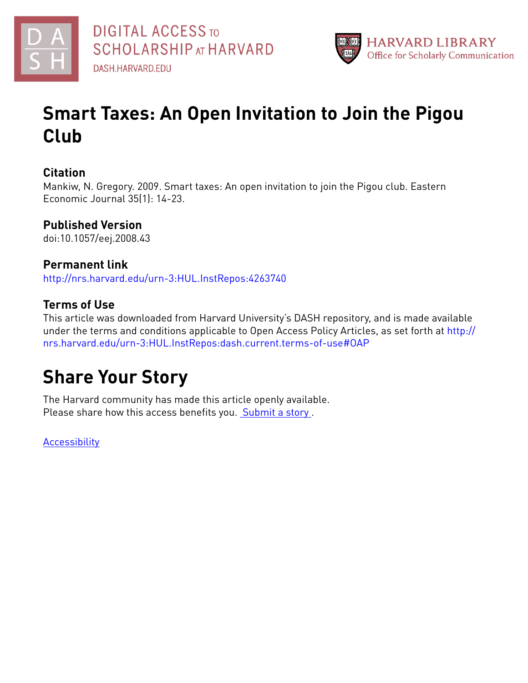



# **Smart Taxes: An Open Invitation to Join the Pigou Club**

### **Citation**

Mankiw, N. Gregory. 2009. Smart taxes: An open invitation to join the Pigou club. Eastern Economic Journal 35(1): 14-23.

## **Published Version**

doi:10.1057/eej.2008.43

## **Permanent link**

<http://nrs.harvard.edu/urn-3:HUL.InstRepos:4263740>

## **Terms of Use**

This article was downloaded from Harvard University's DASH repository, and is made available under the terms and conditions applicable to Open Access Policy Articles, as set forth at [http://](http://nrs.harvard.edu/urn-3:HUL.InstRepos:dash.current.terms-of-use#OAP) [nrs.harvard.edu/urn-3:HUL.InstRepos:dash.current.terms-of-use#OAP](http://nrs.harvard.edu/urn-3:HUL.InstRepos:dash.current.terms-of-use#OAP)

## **Share Your Story**

The Harvard community has made this article openly available. Please share how this access benefits you. [Submit](http://osc.hul.harvard.edu/dash/open-access-feedback?handle=&title=Smart%20Taxes:%20An%20Open%20Invitation%20to%20Join%20the%20Pigou%20Club&community=1/1&collection=1/2&owningCollection1/2&harvardAuthors=ed12d5cc5ec929ccf403bdeb90fc8ed0&departmentEconomics) a story.

**[Accessibility](https://dash.harvard.edu/pages/accessibility)**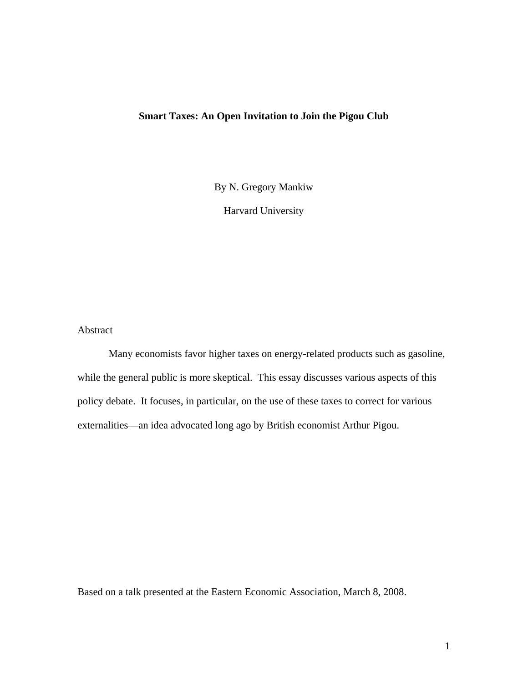### **Smart Taxes: An Open Invitation to Join the Pigou Club**

By N. Gregory Mankiw

Harvard University

#### Abstract

 Many economists favor higher taxes on energy-related products such as gasoline, while the general public is more skeptical. This essay discusses various aspects of this policy debate. It focuses, in particular, on the use of these taxes to correct for various externalities—an idea advocated long ago by British economist Arthur Pigou.

Based on a talk presented at the Eastern Economic Association, March 8, 2008.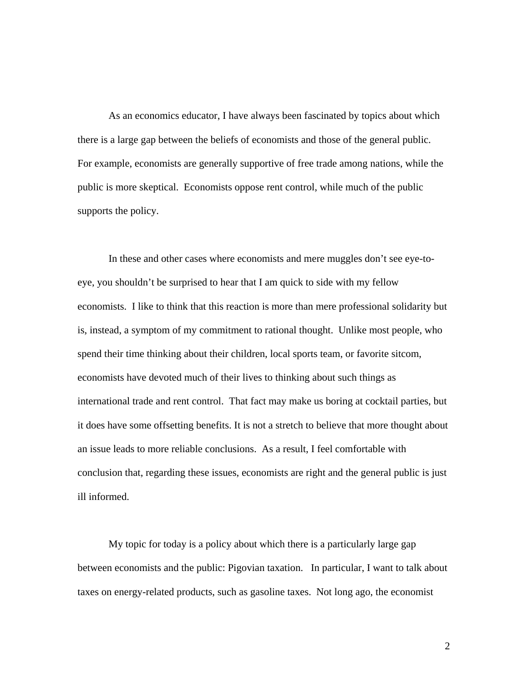As an economics educator, I have always been fascinated by topics about which there is a large gap between the beliefs of economists and those of the general public. For example, economists are generally supportive of free trade among nations, while the public is more skeptical. Economists oppose rent control, while much of the public supports the policy.

 In these and other cases where economists and mere muggles don't see eye-toeye, you shouldn't be surprised to hear that I am quick to side with my fellow economists. I like to think that this reaction is more than mere professional solidarity but is, instead, a symptom of my commitment to rational thought. Unlike most people, who spend their time thinking about their children, local sports team, or favorite sitcom, economists have devoted much of their lives to thinking about such things as international trade and rent control. That fact may make us boring at cocktail parties, but it does have some offsetting benefits. It is not a stretch to believe that more thought about an issue leads to more reliable conclusions. As a result, I feel comfortable with conclusion that, regarding these issues, economists are right and the general public is just ill informed.

 My topic for today is a policy about which there is a particularly large gap between economists and the public: Pigovian taxation. In particular, I want to talk about taxes on energy-related products, such as gasoline taxes. Not long ago, the economist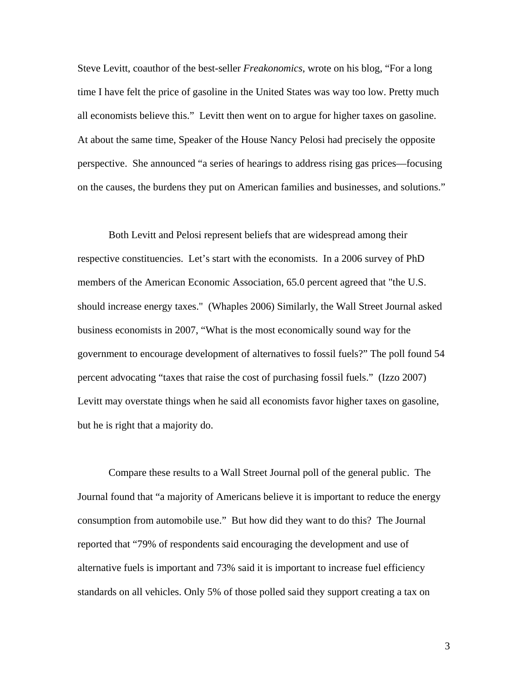Steve Levitt, coauthor of the best-seller *Freakonomics*, wrote on his blog, "For a long time I have felt the price of gasoline in the United States was way too low. Pretty much all economists believe this." Levitt then went on to argue for higher taxes on gasoline. At about the same time, Speaker of the House Nancy Pelosi had precisely the opposite perspective. She announced "a series of hearings to address rising gas prices—focusing on the causes, the burdens they put on American families and businesses, and solutions."

 Both Levitt and Pelosi represent beliefs that are widespread among their respective constituencies. Let's start with the economists. In a 2006 survey of PhD members of the American Economic Association, 65.0 percent agreed that "the U.S. should increase energy taxes." (Whaples 2006) Similarly, the Wall Street Journal asked business economists in 2007, "What is the most economically sound way for the government to encourage development of alternatives to fossil fuels?" The poll found 54 percent advocating "taxes that raise the cost of purchasing fossil fuels." (Izzo 2007) Levitt may overstate things when he said all economists favor higher taxes on gasoline, but he is right that a majority do.

Compare these results to a Wall Street Journal poll of the general public. The Journal found that "a majority of Americans believe it is important to reduce the energy consumption from automobile use." But how did they want to do this? The Journal reported that "79% of respondents said encouraging the development and use of alternative fuels is important and 73% said it is important to increase fuel efficiency standards on all vehicles. Only 5% of those polled said they support creating a tax on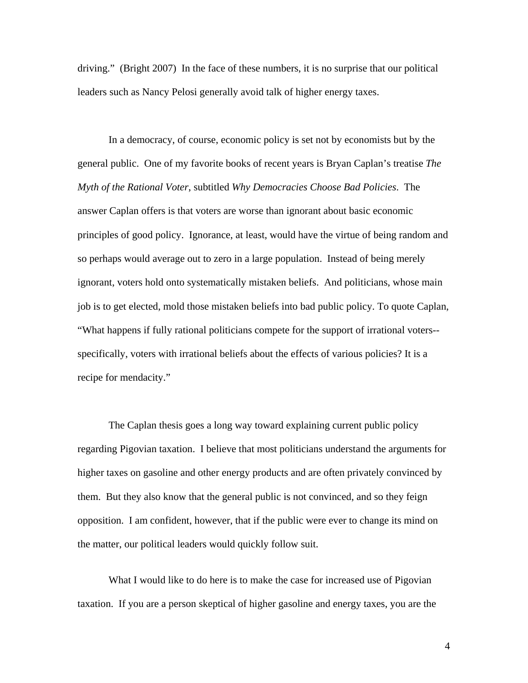driving." (Bright 2007) In the face of these numbers, it is no surprise that our political leaders such as Nancy Pelosi generally avoid talk of higher energy taxes.

 In a democracy, of course, economic policy is set not by economists but by the general public. One of my favorite books of recent years is Bryan Caplan's treatise *The Myth of the Rational Voter*, subtitled *Why Democracies Choose Bad Policies*. The answer Caplan offers is that voters are worse than ignorant about basic economic principles of good policy. Ignorance, at least, would have the virtue of being random and so perhaps would average out to zero in a large population. Instead of being merely ignorant, voters hold onto systematically mistaken beliefs. And politicians, whose main job is to get elected, mold those mistaken beliefs into bad public policy. To quote Caplan, "What happens if fully rational politicians compete for the support of irrational voters- specifically, voters with irrational beliefs about the effects of various policies? It is a recipe for mendacity."

 The Caplan thesis goes a long way toward explaining current public policy regarding Pigovian taxation. I believe that most politicians understand the arguments for higher taxes on gasoline and other energy products and are often privately convinced by them. But they also know that the general public is not convinced, and so they feign opposition. I am confident, however, that if the public were ever to change its mind on the matter, our political leaders would quickly follow suit.

What I would like to do here is to make the case for increased use of Pigovian taxation. If you are a person skeptical of higher gasoline and energy taxes, you are the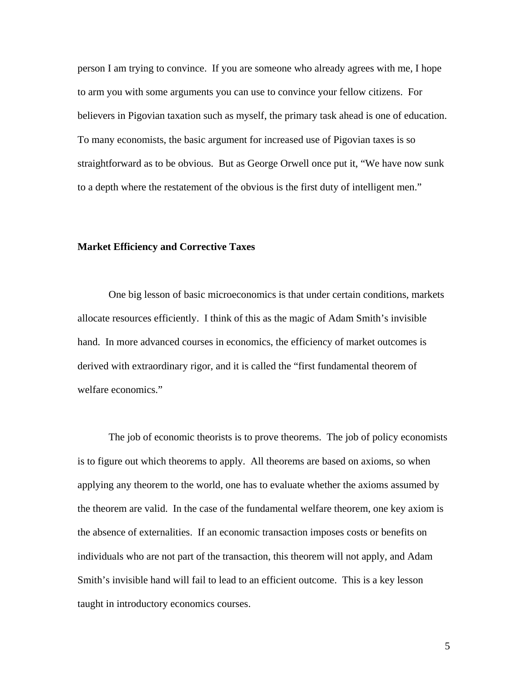person I am trying to convince. If you are someone who already agrees with me, I hope to arm you with some arguments you can use to convince your fellow citizens. For believers in Pigovian taxation such as myself, the primary task ahead is one of education. To many economists, the basic argument for increased use of Pigovian taxes is so straightforward as to be obvious. But as George Orwell once put it, "We have now sunk to a depth where the restatement of the obvious is the first duty of intelligent men."

#### **Market Efficiency and Corrective Taxes**

 One big lesson of basic microeconomics is that under certain conditions, markets allocate resources efficiently. I think of this as the magic of Adam Smith's invisible hand. In more advanced courses in economics, the efficiency of market outcomes is derived with extraordinary rigor, and it is called the "first fundamental theorem of welfare economics."

 The job of economic theorists is to prove theorems. The job of policy economists is to figure out which theorems to apply. All theorems are based on axioms, so when applying any theorem to the world, one has to evaluate whether the axioms assumed by the theorem are valid. In the case of the fundamental welfare theorem, one key axiom is the absence of externalities. If an economic transaction imposes costs or benefits on individuals who are not part of the transaction, this theorem will not apply, and Adam Smith's invisible hand will fail to lead to an efficient outcome. This is a key lesson taught in introductory economics courses.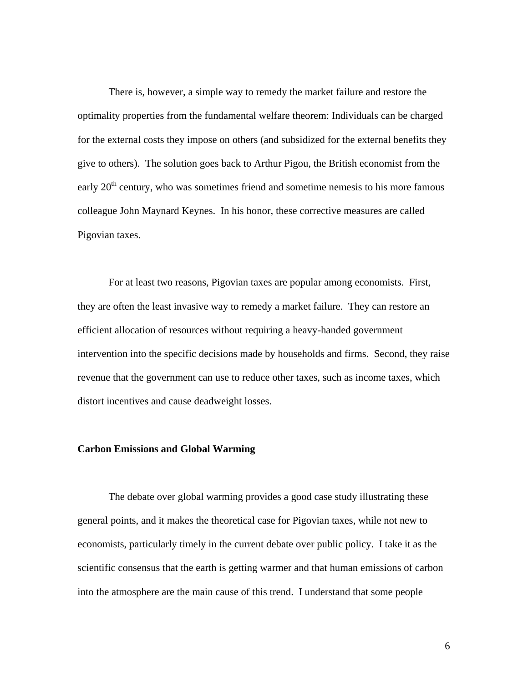There is, however, a simple way to remedy the market failure and restore the optimality properties from the fundamental welfare theorem: Individuals can be charged for the external costs they impose on others (and subsidized for the external benefits they give to others). The solution goes back to Arthur Pigou, the British economist from the early 20<sup>th</sup> century, who was sometimes friend and sometime nemesis to his more famous colleague John Maynard Keynes. In his honor, these corrective measures are called Pigovian taxes.

 For at least two reasons, Pigovian taxes are popular among economists. First, they are often the least invasive way to remedy a market failure. They can restore an efficient allocation of resources without requiring a heavy-handed government intervention into the specific decisions made by households and firms. Second, they raise revenue that the government can use to reduce other taxes, such as income taxes, which distort incentives and cause deadweight losses.

#### **Carbon Emissions and Global Warming**

 The debate over global warming provides a good case study illustrating these general points, and it makes the theoretical case for Pigovian taxes, while not new to economists, particularly timely in the current debate over public policy. I take it as the scientific consensus that the earth is getting warmer and that human emissions of carbon into the atmosphere are the main cause of this trend. I understand that some people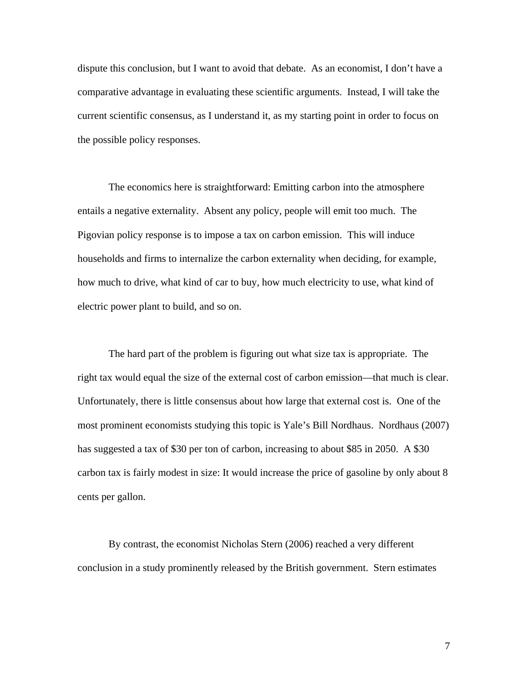dispute this conclusion, but I want to avoid that debate. As an economist, I don't have a comparative advantage in evaluating these scientific arguments. Instead, I will take the current scientific consensus, as I understand it, as my starting point in order to focus on the possible policy responses.

 The economics here is straightforward: Emitting carbon into the atmosphere entails a negative externality. Absent any policy, people will emit too much. The Pigovian policy response is to impose a tax on carbon emission. This will induce households and firms to internalize the carbon externality when deciding, for example, how much to drive, what kind of car to buy, how much electricity to use, what kind of electric power plant to build, and so on.

 The hard part of the problem is figuring out what size tax is appropriate. The right tax would equal the size of the external cost of carbon emission—that much is clear. Unfortunately, there is little consensus about how large that external cost is. One of the most prominent economists studying this topic is Yale's Bill Nordhaus. Nordhaus (2007) has suggested a tax of \$30 per ton of carbon, increasing to about \$85 in 2050. A \$30 carbon tax is fairly modest in size: It would increase the price of gasoline by only about 8 cents per gallon.

By contrast, the economist Nicholas Stern (2006) reached a very different conclusion in a study prominently released by the British government. Stern estimates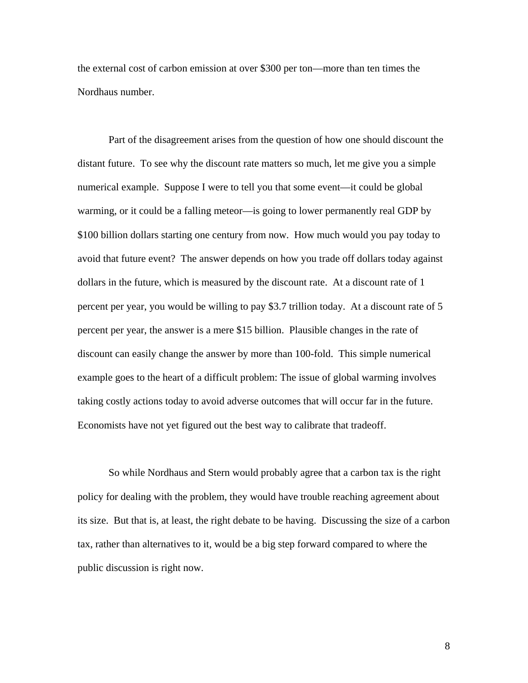the external cost of carbon emission at over \$300 per ton—more than ten times the Nordhaus number.

Part of the disagreement arises from the question of how one should discount the distant future. To see why the discount rate matters so much, let me give you a simple numerical example. Suppose I were to tell you that some event—it could be global warming, or it could be a falling meteor—is going to lower permanently real GDP by \$100 billion dollars starting one century from now. How much would you pay today to avoid that future event? The answer depends on how you trade off dollars today against dollars in the future, which is measured by the discount rate. At a discount rate of 1 percent per year, you would be willing to pay \$3.7 trillion today. At a discount rate of 5 percent per year, the answer is a mere \$15 billion. Plausible changes in the rate of discount can easily change the answer by more than 100-fold. This simple numerical example goes to the heart of a difficult problem: The issue of global warming involves taking costly actions today to avoid adverse outcomes that will occur far in the future. Economists have not yet figured out the best way to calibrate that tradeoff.

So while Nordhaus and Stern would probably agree that a carbon tax is the right policy for dealing with the problem, they would have trouble reaching agreement about its size. But that is, at least, the right debate to be having. Discussing the size of a carbon tax, rather than alternatives to it, would be a big step forward compared to where the public discussion is right now.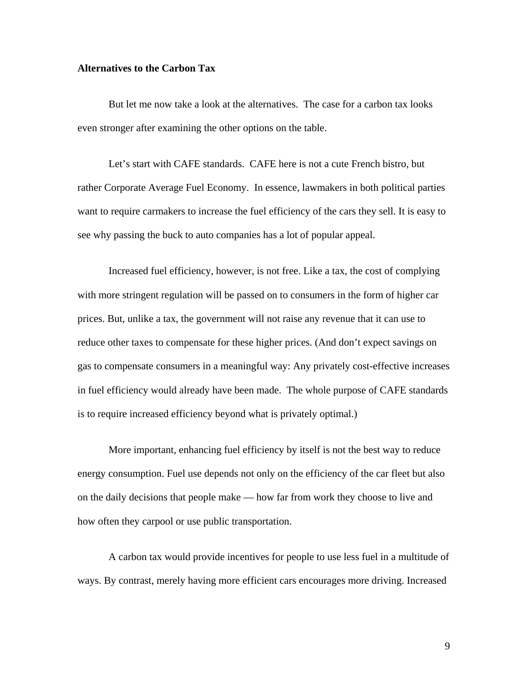#### **Alternatives to the Carbon Tax**

But let me now take a look at the alternatives. The case for a carbon tax looks even stronger after examining the other options on the table.

Let's start with CAFE standards. CAFE here is not a cute French bistro, but rather Corporate Average Fuel Economy. In essence, lawmakers in both political parties want to require carmakers to increase the fuel efficiency of the cars they sell. It is easy to see why passing the buck to auto companies has a lot of popular appeal.

Increased fuel efficiency, however, is not free. Like a tax, the cost of complying with more stringent regulation will be passed on to consumers in the form of higher car prices. But, unlike a tax, the government will not raise any revenue that it can use to reduce other taxes to compensate for these higher prices. (And don't expect savings on gas to compensate consumers in a meaningful way: Any privately cost-effective increases in fuel efficiency would already have been made. The whole purpose of CAFE standards is to require increased efficiency beyond what is privately optimal.)

More important, enhancing fuel efficiency by itself is not the best way to reduce energy consumption. Fuel use depends not only on the efficiency of the car fleet but also on the daily decisions that people make — how far from work they choose to live and how often they carpool or use public transportation.

A carbon tax would provide incentives for people to use less fuel in a multitude of ways. By contrast, merely having more efficient cars encourages more driving. Increased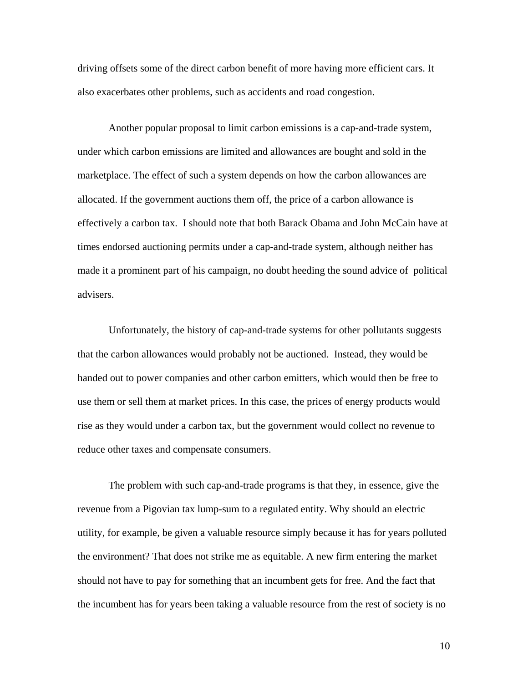driving offsets some of the direct carbon benefit of more having more efficient cars. It also exacerbates other problems, such as accidents and road congestion.

Another popular proposal to limit carbon emissions is a cap-and-trade system, under which carbon emissions are limited and allowances are bought and sold in the marketplace. The effect of such a system depends on how the carbon allowances are allocated. If the government auctions them off, the price of a carbon allowance is effectively a carbon tax. I should note that both Barack Obama and John McCain have at times endorsed auctioning permits under a cap-and-trade system, although neither has made it a prominent part of his campaign, no doubt heeding the sound advice of political advisers.

Unfortunately, the history of cap-and-trade systems for other pollutants suggests that the carbon allowances would probably not be auctioned. Instead, they would be handed out to power companies and other carbon emitters, which would then be free to use them or sell them at market prices. In this case, the prices of energy products would rise as they would under a carbon tax, but the government would collect no revenue to reduce other taxes and compensate consumers.

The problem with such cap-and-trade programs is that they, in essence, give the revenue from a Pigovian tax lump-sum to a regulated entity. Why should an electric utility, for example, be given a valuable resource simply because it has for years polluted the environment? That does not strike me as equitable. A new firm entering the market should not have to pay for something that an incumbent gets for free. And the fact that the incumbent has for years been taking a valuable resource from the rest of society is no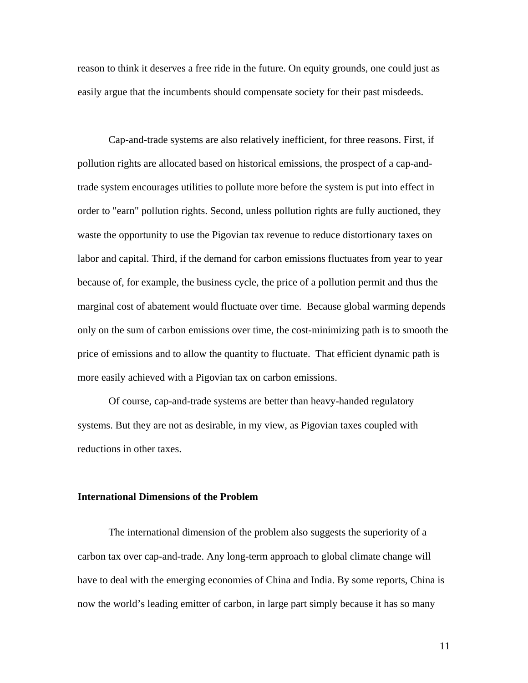reason to think it deserves a free ride in the future. On equity grounds, one could just as easily argue that the incumbents should compensate society for their past misdeeds.

Cap-and-trade systems are also relatively inefficient, for three reasons. First, if pollution rights are allocated based on historical emissions, the prospect of a cap-andtrade system encourages utilities to pollute more before the system is put into effect in order to "earn" pollution rights. Second, unless pollution rights are fully auctioned, they waste the opportunity to use the Pigovian tax revenue to reduce distortionary taxes on labor and capital. Third, if the demand for carbon emissions fluctuates from year to year because of, for example, the business cycle, the price of a pollution permit and thus the marginal cost of abatement would fluctuate over time. Because global warming depends only on the sum of carbon emissions over time, the cost-minimizing path is to smooth the price of emissions and to allow the quantity to fluctuate. That efficient dynamic path is more easily achieved with a Pigovian tax on carbon emissions.

Of course, cap-and-trade systems are better than heavy-handed regulatory systems. But they are not as desirable, in my view, as Pigovian taxes coupled with reductions in other taxes.

#### **International Dimensions of the Problem**

The international dimension of the problem also suggests the superiority of a carbon tax over cap-and-trade. Any long-term approach to global climate change will have to deal with the emerging economies of China and India. By some reports, China is now the world's leading emitter of carbon, in large part simply because it has so many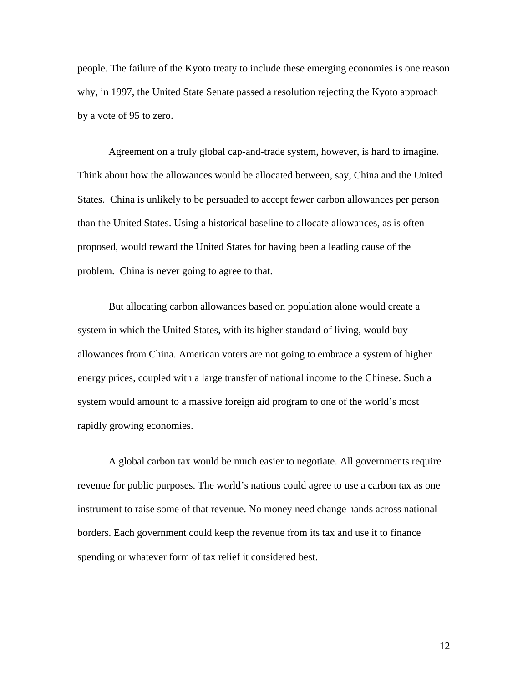people. The failure of the Kyoto treaty to include these emerging economies is one reason why, in 1997, the United State Senate passed a resolution rejecting the Kyoto approach by a vote of 95 to zero.

Agreement on a truly global cap-and-trade system, however, is hard to imagine. Think about how the allowances would be allocated between, say, China and the United States. China is unlikely to be persuaded to accept fewer carbon allowances per person than the United States. Using a historical baseline to allocate allowances, as is often proposed, would reward the United States for having been a leading cause of the problem. China is never going to agree to that.

But allocating carbon allowances based on population alone would create a system in which the United States, with its higher standard of living, would buy allowances from China. American voters are not going to embrace a system of higher energy prices, coupled with a large transfer of national income to the Chinese. Such a system would amount to a massive foreign aid program to one of the world's most rapidly growing economies.

A global carbon tax would be much easier to negotiate. All governments require revenue for public purposes. The world's nations could agree to use a carbon tax as one instrument to raise some of that revenue. No money need change hands across national borders. Each government could keep the revenue from its tax and use it to finance spending or whatever form of tax relief it considered best.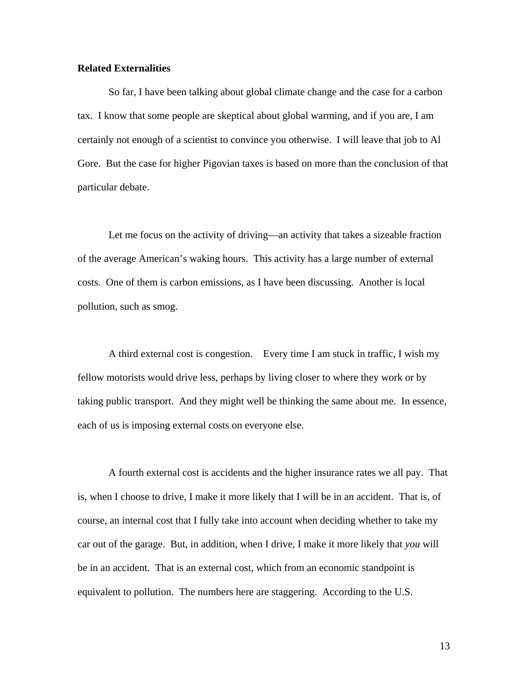#### **Related Externalities**

 So far, I have been talking about global climate change and the case for a carbon tax. I know that some people are skeptical about global warming, and if you are, I am certainly not enough of a scientist to convince you otherwise. I will leave that job to Al Gore. But the case for higher Pigovian taxes is based on more than the conclusion of that particular debate.

 Let me focus on the activity of driving—an activity that takes a sizeable fraction of the average American's waking hours. This activity has a large number of external costs. One of them is carbon emissions, as I have been discussing. Another is local pollution, such as smog.

A third external cost is congestion. Every time I am stuck in traffic, I wish my fellow motorists would drive less, perhaps by living closer to where they work or by taking public transport. And they might well be thinking the same about me. In essence, each of us is imposing external costs on everyone else.

A fourth external cost is accidents and the higher insurance rates we all pay. That is, when I choose to drive, I make it more likely that I will be in an accident. That is, of course, an internal cost that I fully take into account when deciding whether to take my car out of the garage. But, in addition, when I drive, I make it more likely that *you* will be in an accident. That is an external cost, which from an economic standpoint is equivalent to pollution. The numbers here are staggering. According to the U.S.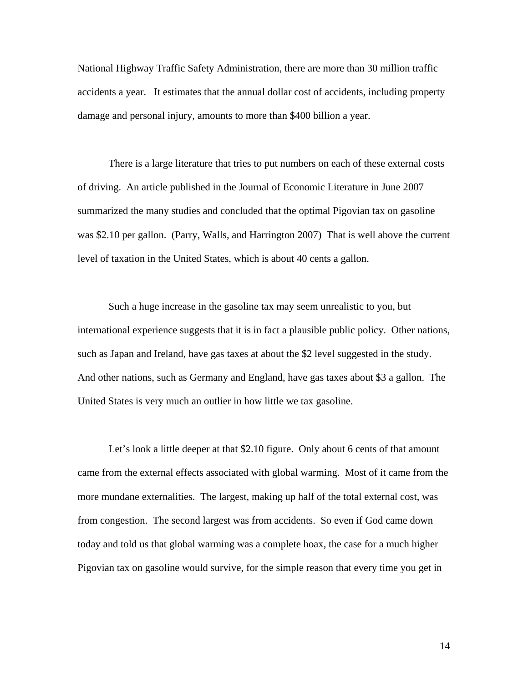National Highway Traffic Safety Administration, there are more than 30 million traffic accidents a year. It estimates that the annual dollar cost of accidents, including property damage and personal injury, amounts to more than \$400 billion a year.

 There is a large literature that tries to put numbers on each of these external costs of driving. An article published in the Journal of Economic Literature in June 2007 summarized the many studies and concluded that the optimal Pigovian tax on gasoline was \$2.10 per gallon. (Parry, Walls, and Harrington 2007) That is well above the current level of taxation in the United States, which is about 40 cents a gallon.

Such a huge increase in the gasoline tax may seem unrealistic to you, but international experience suggests that it is in fact a plausible public policy. Other nations, such as Japan and Ireland, have gas taxes at about the \$2 level suggested in the study. And other nations, such as Germany and England, have gas taxes about \$3 a gallon. The United States is very much an outlier in how little we tax gasoline.

Let's look a little deeper at that \$2.10 figure. Only about 6 cents of that amount came from the external effects associated with global warming. Most of it came from the more mundane externalities. The largest, making up half of the total external cost, was from congestion. The second largest was from accidents. So even if God came down today and told us that global warming was a complete hoax, the case for a much higher Pigovian tax on gasoline would survive, for the simple reason that every time you get in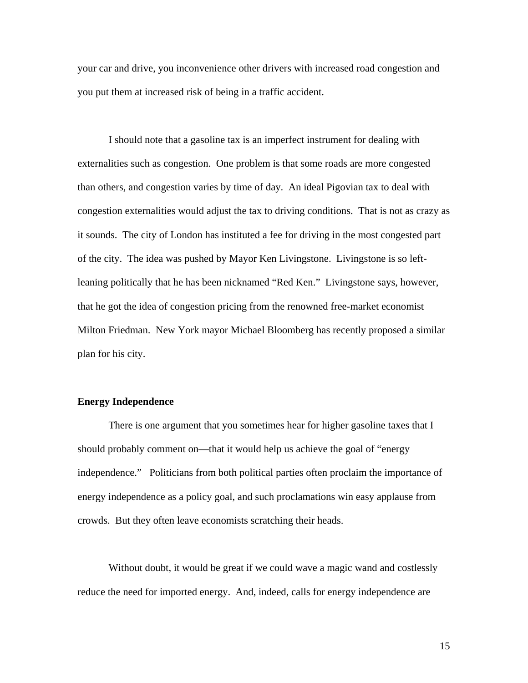your car and drive, you inconvenience other drivers with increased road congestion and you put them at increased risk of being in a traffic accident.

 I should note that a gasoline tax is an imperfect instrument for dealing with externalities such as congestion. One problem is that some roads are more congested than others, and congestion varies by time of day. An ideal Pigovian tax to deal with congestion externalities would adjust the tax to driving conditions. That is not as crazy as it sounds. The city of London has instituted a fee for driving in the most congested part of the city. The idea was pushed by Mayor Ken Livingstone. Livingstone is so leftleaning politically that he has been nicknamed "Red Ken." Livingstone says, however, that he got the idea of congestion pricing from the renowned free-market economist Milton Friedman. New York mayor Michael Bloomberg has recently proposed a similar plan for his city.

#### **Energy Independence**

 There is one argument that you sometimes hear for higher gasoline taxes that I should probably comment on—that it would help us achieve the goal of "energy independence." Politicians from both political parties often proclaim the importance of energy independence as a policy goal, and such proclamations win easy applause from crowds. But they often leave economists scratching their heads.

Without doubt, it would be great if we could wave a magic wand and costlessly reduce the need for imported energy. And, indeed, calls for energy independence are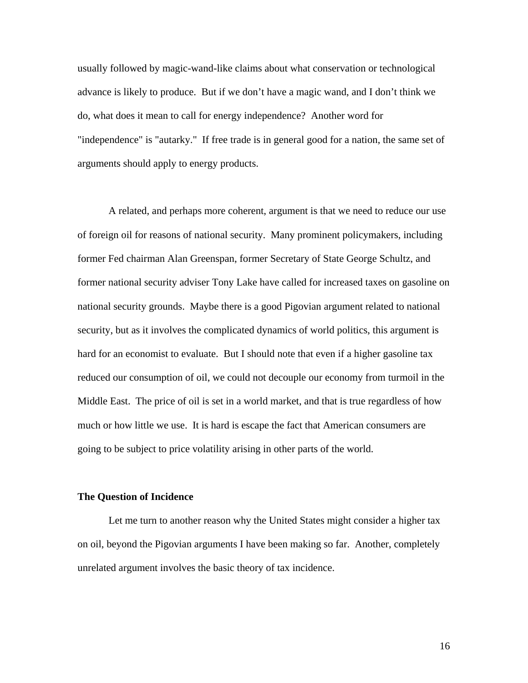usually followed by magic-wand-like claims about what conservation or technological advance is likely to produce. But if we don't have a magic wand, and I don't think we do, what does it mean to call for energy independence? Another word for "independence" is "autarky." If free trade is in general good for a nation, the same set of arguments should apply to energy products.

A related, and perhaps more coherent, argument is that we need to reduce our use of foreign oil for reasons of national security. Many prominent policymakers, including former Fed chairman Alan Greenspan, former Secretary of State George Schultz, and former national security adviser Tony Lake have called for increased taxes on gasoline on national security grounds. Maybe there is a good Pigovian argument related to national security, but as it involves the complicated dynamics of world politics, this argument is hard for an economist to evaluate. But I should note that even if a higher gasoline tax reduced our consumption of oil, we could not decouple our economy from turmoil in the Middle East. The price of oil is set in a world market, and that is true regardless of how much or how little we use. It is hard is escape the fact that American consumers are going to be subject to price volatility arising in other parts of the world.

#### **The Question of Incidence**

Let me turn to another reason why the United States might consider a higher tax on oil, beyond the Pigovian arguments I have been making so far. Another, completely unrelated argument involves the basic theory of tax incidence.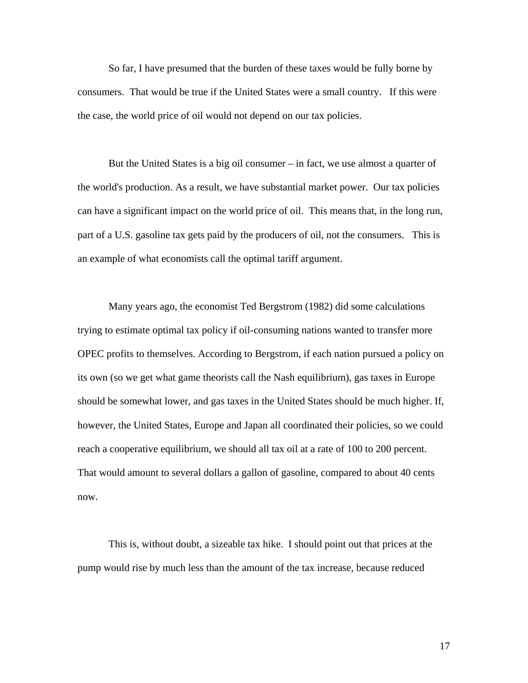So far, I have presumed that the burden of these taxes would be fully borne by consumers. That would be true if the United States were a small country. If this were the case, the world price of oil would not depend on our tax policies.

But the United States is a big oil consumer – in fact, we use almost a quarter of the world's production. As a result, we have substantial market power. Our tax policies can have a significant impact on the world price of oil. This means that, in the long run, part of a U.S. gasoline tax gets paid by the producers of oil, not the consumers. This is an example of what economists call the optimal tariff argument.

Many years ago, the economist Ted Bergstrom (1982) did some calculations trying to estimate optimal tax policy if oil-consuming nations wanted to transfer more OPEC profits to themselves. According to Bergstrom, if each nation pursued a policy on its own (so we get what game theorists call the Nash equilibrium), gas taxes in Europe should be somewhat lower, and gas taxes in the United States should be much higher. If, however, the United States, Europe and Japan all coordinated their policies, so we could reach a cooperative equilibrium, we should all tax oil at a rate of 100 to 200 percent. That would amount to several dollars a gallon of gasoline, compared to about 40 cents now.

This is, without doubt, a sizeable tax hike. I should point out that prices at the pump would rise by much less than the amount of the tax increase, because reduced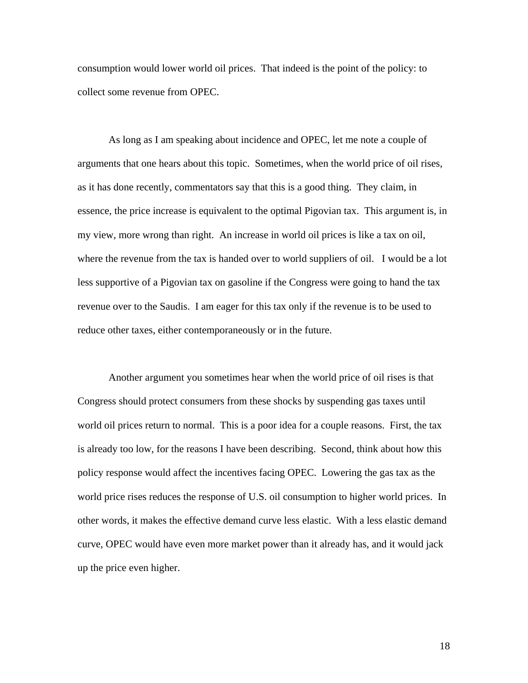consumption would lower world oil prices. That indeed is the point of the policy: to collect some revenue from OPEC.

 As long as I am speaking about incidence and OPEC, let me note a couple of arguments that one hears about this topic. Sometimes, when the world price of oil rises, as it has done recently, commentators say that this is a good thing. They claim, in essence, the price increase is equivalent to the optimal Pigovian tax. This argument is, in my view, more wrong than right. An increase in world oil prices is like a tax on oil, where the revenue from the tax is handed over to world suppliers of oil. I would be a lot less supportive of a Pigovian tax on gasoline if the Congress were going to hand the tax revenue over to the Saudis. I am eager for this tax only if the revenue is to be used to reduce other taxes, either contemporaneously or in the future.

 Another argument you sometimes hear when the world price of oil rises is that Congress should protect consumers from these shocks by suspending gas taxes until world oil prices return to normal. This is a poor idea for a couple reasons. First, the tax is already too low, for the reasons I have been describing. Second, think about how this policy response would affect the incentives facing OPEC. Lowering the gas tax as the world price rises reduces the response of U.S. oil consumption to higher world prices. In other words, it makes the effective demand curve less elastic. With a less elastic demand curve, OPEC would have even more market power than it already has, and it would jack up the price even higher.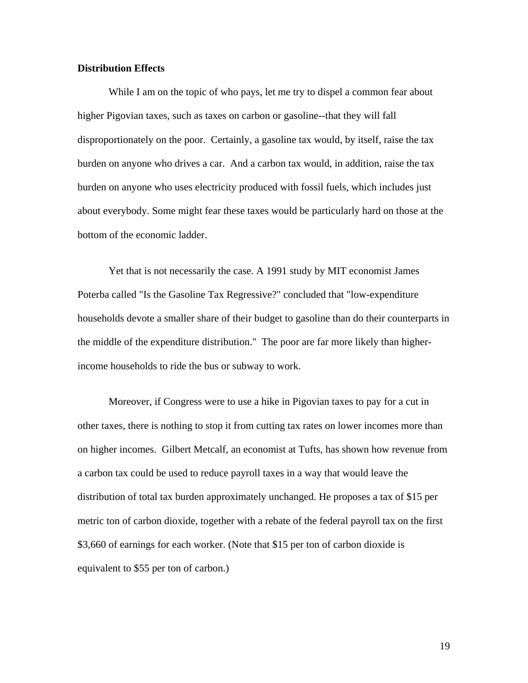#### **Distribution Effects**

While I am on the topic of who pays, let me try to dispel a common fear about higher Pigovian taxes, such as taxes on carbon or gasoline--that they will fall disproportionately on the poor. Certainly, a gasoline tax would, by itself, raise the tax burden on anyone who drives a car. And a carbon tax would, in addition, raise the tax burden on anyone who uses electricity produced with fossil fuels, which includes just about everybody. Some might fear these taxes would be particularly hard on those at the bottom of the economic ladder.

Yet that is not necessarily the case. A 1991 study by MIT economist James Poterba called "Is the Gasoline Tax Regressive?" concluded that "low-expenditure households devote a smaller share of their budget to gasoline than do their counterparts in the middle of the expenditure distribution." The poor are far more likely than higherincome households to ride the bus or subway to work.

Moreover, if Congress were to use a hike in Pigovian taxes to pay for a cut in other taxes, there is nothing to stop it from cutting tax rates on lower incomes more than on higher incomes. Gilbert Metcalf, an economist at Tufts, has shown how revenue from a carbon tax could be used to reduce payroll taxes in a way that would leave the distribution of total tax burden approximately unchanged. He proposes a tax of \$15 per metric ton of carbon dioxide, together with a rebate of the federal payroll tax on the first \$3,660 of earnings for each worker. (Note that \$15 per ton of carbon dioxide is equivalent to \$55 per ton of carbon.)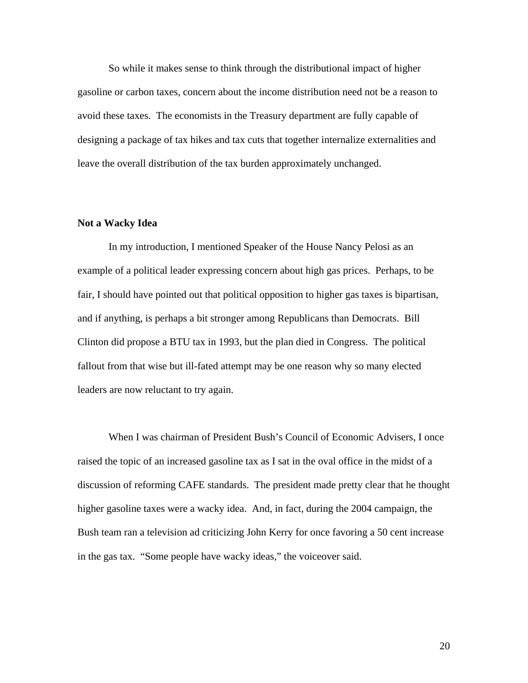So while it makes sense to think through the distributional impact of higher gasoline or carbon taxes, concern about the income distribution need not be a reason to avoid these taxes. The economists in the Treasury department are fully capable of designing a package of tax hikes and tax cuts that together internalize externalities and leave the overall distribution of the tax burden approximately unchanged.

#### **Not a Wacky Idea**

 In my introduction, I mentioned Speaker of the House Nancy Pelosi as an example of a political leader expressing concern about high gas prices. Perhaps, to be fair, I should have pointed out that political opposition to higher gas taxes is bipartisan, and if anything, is perhaps a bit stronger among Republicans than Democrats. Bill Clinton did propose a BTU tax in 1993, but the plan died in Congress. The political fallout from that wise but ill-fated attempt may be one reason why so many elected leaders are now reluctant to try again.

 When I was chairman of President Bush's Council of Economic Advisers, I once raised the topic of an increased gasoline tax as I sat in the oval office in the midst of a discussion of reforming CAFE standards. The president made pretty clear that he thought higher gasoline taxes were a wacky idea. And, in fact, during the 2004 campaign, the Bush team ran a television ad criticizing John Kerry for once favoring a 50 cent increase in the gas tax. "Some people have wacky ideas," the voiceover said.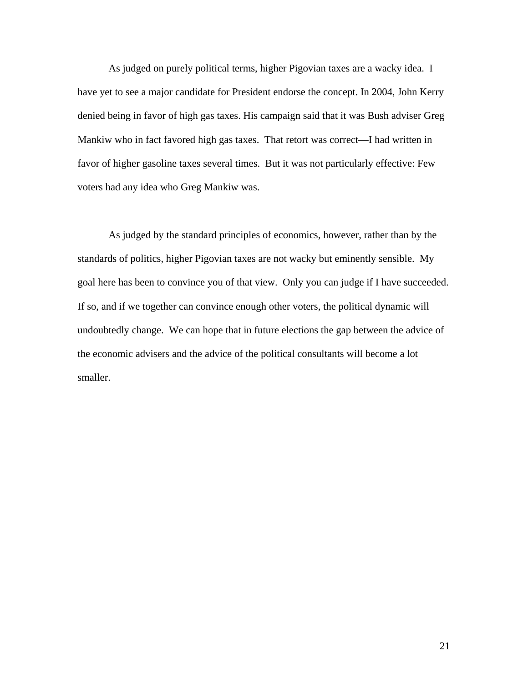As judged on purely political terms, higher Pigovian taxes are a wacky idea. I have yet to see a major candidate for President endorse the concept. In 2004, John Kerry denied being in favor of high gas taxes. His campaign said that it was Bush adviser Greg Mankiw who in fact favored high gas taxes. That retort was correct—I had written in favor of higher gasoline taxes several times. But it was not particularly effective: Few voters had any idea who Greg Mankiw was.

 As judged by the standard principles of economics, however, rather than by the standards of politics, higher Pigovian taxes are not wacky but eminently sensible. My goal here has been to convince you of that view. Only you can judge if I have succeeded. If so, and if we together can convince enough other voters, the political dynamic will undoubtedly change. We can hope that in future elections the gap between the advice of the economic advisers and the advice of the political consultants will become a lot smaller.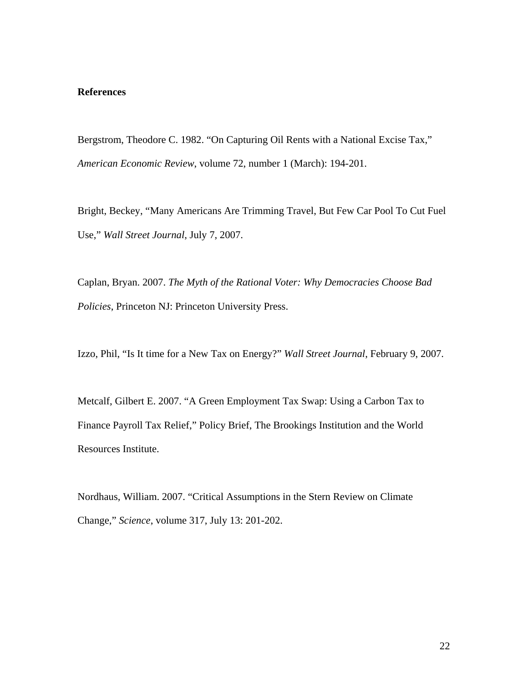#### **References**

Bergstrom, Theodore C. 1982. "On Capturing Oil Rents with a National Excise Tax," *American Economic Review*, volume 72, number 1 (March): 194-201.

Bright, Beckey, "Many Americans Are Trimming Travel, But Few Car Pool To Cut Fuel Use," *Wall Street Journal*, July 7, 2007.

Caplan, Bryan. 2007. *The Myth of the Rational Voter: Why Democracies Choose Bad Policies*, Princeton NJ: Princeton University Press.

Izzo, Phil, "Is It time for a New Tax on Energy?" *Wall Street Journal*, February 9, 2007.

Metcalf, Gilbert E. 2007. "A Green Employment Tax Swap: Using a Carbon Tax to Finance Payroll Tax Relief," Policy Brief, The Brookings Institution and the World Resources Institute.

Nordhaus, William. 2007. "Critical Assumptions in the Stern Review on Climate Change," *Science*, volume 317, July 13: 201-202.